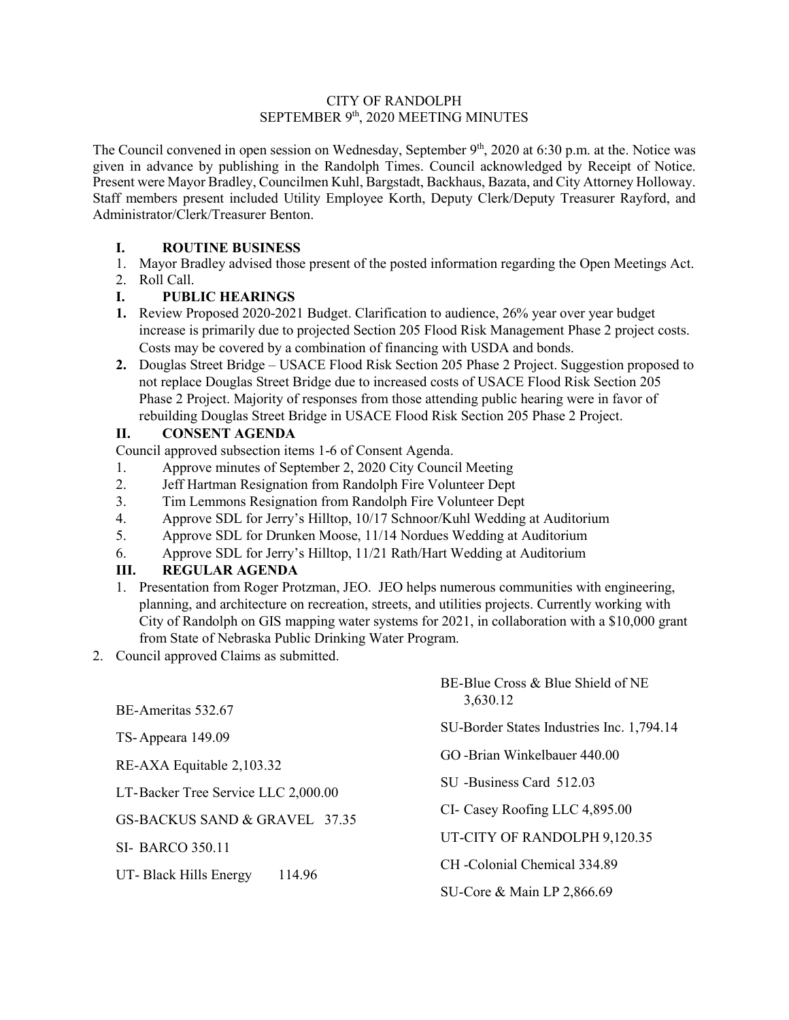## CITY OF RANDOLPH SEPTEMBER 9th, 2020 MEETING MINUTES

The Council convened in open session on Wednesday, September 9<sup>th</sup>, 2020 at 6:30 p.m. at the. Notice was given in advance by publishing in the Randolph Times. Council acknowledged by Receipt of Notice. Present were Mayor Bradley, Councilmen Kuhl, Bargstadt, Backhaus, Bazata, and City Attorney Holloway. Staff members present included Utility Employee Korth, Deputy Clerk/Deputy Treasurer Rayford, and Administrator/Clerk/Treasurer Benton.

## **I. ROUTINE BUSINESS**

- 1. Mayor Bradley advised those present of the posted information regarding the Open Meetings Act.
- 2. Roll Call.

# **I. PUBLIC HEARINGS**

- **1.** Review Proposed 2020-2021 Budget. Clarification to audience, 26% year over year budget increase is primarily due to projected Section 205 Flood Risk Management Phase 2 project costs. Costs may be covered by a combination of financing with USDA and bonds.
- **2.** Douglas Street Bridge USACE Flood Risk Section 205 Phase 2 Project. Suggestion proposed to not replace Douglas Street Bridge due to increased costs of USACE Flood Risk Section 205 Phase 2 Project. Majority of responses from those attending public hearing were in favor of rebuilding Douglas Street Bridge in USACE Flood Risk Section 205 Phase 2 Project.

# **II. CONSENT AGENDA**

Council approved subsection items 1-6 of Consent Agenda.

- 1. Approve minutes of September 2, 2020 City Council Meeting
- 2. Jeff Hartman Resignation from Randolph Fire Volunteer Dept
- 3. Tim Lemmons Resignation from Randolph Fire Volunteer Dept
- 4. Approve SDL for Jerry's Hilltop, 10/17 Schnoor/Kuhl Wedding at Auditorium
- 5. Approve SDL for Drunken Moose, 11/14 Nordues Wedding at Auditorium
- 6. Approve SDL for Jerry's Hilltop, 11/21 Rath/Hart Wedding at Auditorium

# **III. REGULAR AGENDA**

1. Presentation from Roger Protzman, JEO. JEO helps numerous communities with engineering, planning, and architecture on recreation, streets, and utilities projects. Currently working with City of Randolph on GIS mapping water systems for 2021, in collaboration with a \$10,000 grant from State of Nebraska Public Drinking Water Program.

2. Council approved Claims as submitted.

|                                     | BE-Blue Cross & Blue Shield of NE<br>3,630.12 |
|-------------------------------------|-----------------------------------------------|
| BE-Ameritas 532.67                  |                                               |
| TS-Appeara 149.09                   | SU-Border States Industries Inc. 1,794.14     |
| RE-AXA Equitable 2,103.32           | GO-Brian Winkelbauer 440.00                   |
|                                     | SU -Business Card 512.03                      |
| LT-Backer Tree Service LLC 2,000.00 |                                               |
| GS-BACKUS SAND & GRAVEL 37.35       | CI- Casey Roofing LLC 4,895.00                |
| <b>SI- BARCO 350.11</b>             | UT-CITY OF RANDOLPH 9,120.35                  |
| 114.96                              | CH - Colonial Chemical 334.89                 |
| UT-Black Hills Energy               | SU-Core & Main LP 2,866.69                    |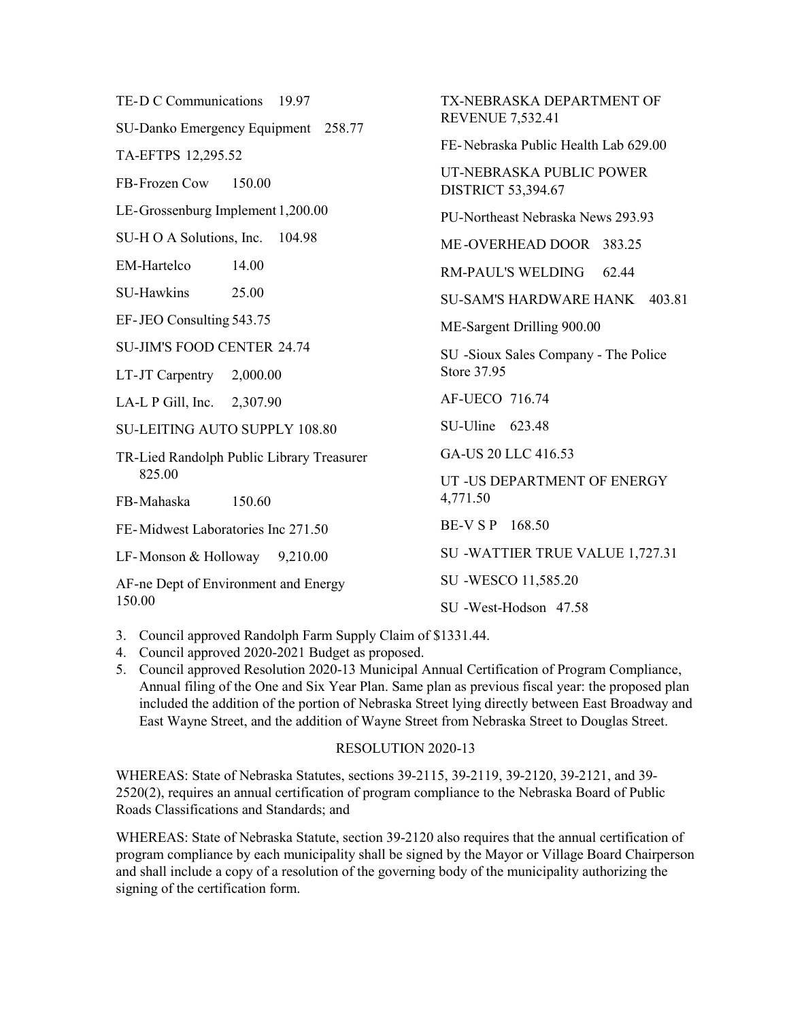| TE-D C Communications 19.97               | TX-NEBRASKA DEPARTMENT OF<br><b>REVENUE 7,532.41</b>  |
|-------------------------------------------|-------------------------------------------------------|
| SU-Danko Emergency Equipment 258.77       |                                                       |
| TA-EFTPS 12,295.52                        | FE-Nebraska Public Health Lab 629.00                  |
| FB-Frozen Cow<br>150.00                   | UT-NEBRASKA PUBLIC POWER<br><b>DISTRICT 53,394.67</b> |
| LE-Grossenburg Implement 1,200.00         | PU-Northeast Nebraska News 293.93                     |
| SU-H O A Solutions, Inc. 104.98           | ME-OVERHEAD DOOR 383.25                               |
| <b>EM-Hartelco</b><br>14.00               | <b>RM-PAUL'S WELDING</b><br>62.44                     |
| SU-Hawkins<br>25.00                       | SU-SAM'S HARDWARE HANK 403.81                         |
| EF-JEO Consulting 543.75                  | ME-Sargent Drilling 900.00                            |
| <b>SU-JIM'S FOOD CENTER 24.74</b>         | SU -Sioux Sales Company - The Police<br>Store 37.95   |
| LT-JT Carpentry 2,000.00                  |                                                       |
| LA-L P Gill, Inc. 2,307.90                | AF-UECO 716.74                                        |
| <b>SU-LEITING AUTO SUPPLY 108.80</b>      | SU-Uline 623.48                                       |
| TR-Lied Randolph Public Library Treasurer | GA-US 20 LLC 416.53                                   |
| 825.00                                    | UT - US DEPARTMENT OF ENERGY                          |
| FB-Mahaska<br>150.60                      | 4,771.50                                              |
| FE-Midwest Laboratories Inc 271.50        | BE-V S P 168.50                                       |
| LF-Monson & Holloway $9,210.00$           | SU -WATTIER TRUE VALUE 1,727.31                       |
| AF-ne Dept of Environment and Energy      | SU -WESCO 11,585.20                                   |
| 150.00                                    | SU-West-Hodson 47.58                                  |

- 3. Council approved Randolph Farm Supply Claim of \$1331.44.
- 4. Council approved 2020-2021 Budget as proposed.
- 5. Council approved Resolution 2020-13 Municipal Annual Certification of Program Compliance, Annual filing of the One and Six Year Plan. Same plan as previous fiscal year: the proposed plan included the addition of the portion of Nebraska Street lying directly between East Broadway and East Wayne Street, and the addition of Wayne Street from Nebraska Street to Douglas Street.

### RESOLUTION 2020-13

WHEREAS: State of Nebraska Statutes, sections 39-2115, 39-2119, 39-2120, 39-2121, and 39- 2520(2), requires an annual certification of program compliance to the Nebraska Board of Public Roads Classifications and Standards; and

WHEREAS: State of Nebraska Statute, section 39-2120 also requires that the annual certification of program compliance by each municipality shall be signed by the Mayor or Village Board Chairperson and shall include a copy of a resolution of the governing body of the municipality authorizing the signing of the certification form.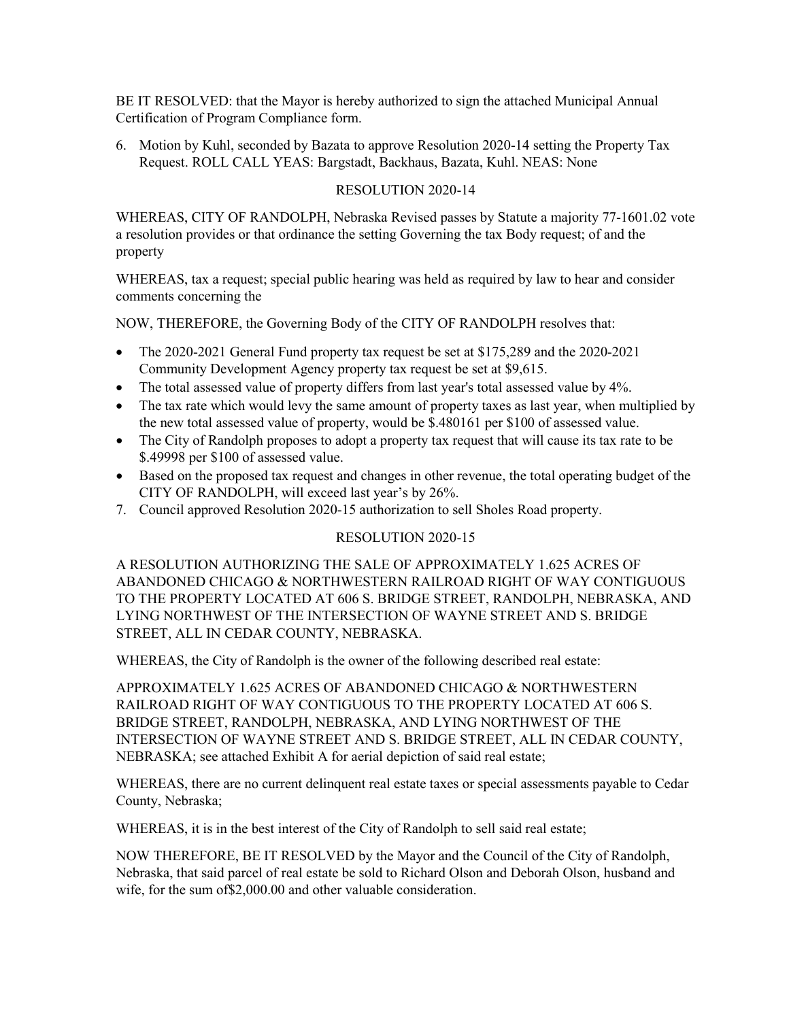BE IT RESOLVED: that the Mayor is hereby authorized to sign the attached Municipal Annual Certification of Program Compliance form.

6. Motion by Kuhl, seconded by Bazata to approve Resolution 2020-14 setting the Property Tax Request. ROLL CALL YEAS: Bargstadt, Backhaus, Bazata, Kuhl. NEAS: None

## RESOLUTION 2020-14

WHEREAS, CITY OF RANDOLPH, Nebraska Revised passes by Statute a majority 77-1601.02 vote a resolution provides or that ordinance the setting Governing the tax Body request; of and the property

WHEREAS, tax a request; special public hearing was held as required by law to hear and consider comments concerning the

NOW, THEREFORE, the Governing Body of the CITY OF RANDOLPH resolves that:

- The 2020-2021 General Fund property tax request be set at \$175,289 and the 2020-2021 Community Development Agency property tax request be set at \$9,615.
- The total assessed value of property differs from last year's total assessed value by 4%.
- The tax rate which would levy the same amount of property taxes as last year, when multiplied by the new total assessed value of property, would be \$.480161 per \$100 of assessed value.
- The City of Randolph proposes to adopt a property tax request that will cause its tax rate to be \$.49998 per \$100 of assessed value.
- Based on the proposed tax request and changes in other revenue, the total operating budget of the CITY OF RANDOLPH, will exceed last year's by 26%.
- 7. Council approved Resolution 2020-15 authorization to sell Sholes Road property.

### RESOLUTION 2020-15

A RESOLUTION AUTHORIZING THE SALE OF APPROXIMATELY 1.625 ACRES OF ABANDONED CHICAGO & NORTHWESTERN RAILROAD RIGHT OF WAY CONTIGUOUS TO THE PROPERTY LOCATED AT 606 S. BRIDGE STREET, RANDOLPH, NEBRASKA, AND LYING NORTHWEST OF THE INTERSECTION OF WAYNE STREET AND S. BRIDGE STREET, ALL IN CEDAR COUNTY, NEBRASKA.

WHEREAS, the City of Randolph is the owner of the following described real estate:

APPROXIMATELY 1.625 ACRES OF ABANDONED CHICAGO & NORTHWESTERN RAILROAD RIGHT OF WAY CONTIGUOUS TO THE PROPERTY LOCATED AT 606 S. BRIDGE STREET, RANDOLPH, NEBRASKA, AND LYING NORTHWEST OF THE INTERSECTION OF WAYNE STREET AND S. BRIDGE STREET, ALL IN CEDAR COUNTY, NEBRASKA; see attached Exhibit A for aerial depiction of said real estate;

WHEREAS, there are no current delinquent real estate taxes or special assessments payable to Cedar County, Nebraska;

WHEREAS, it is in the best interest of the City of Randolph to sell said real estate;

NOW THEREFORE, BE IT RESOLVED by the Mayor and the Council of the City of Randolph, Nebraska, that said parcel of real estate be sold to Richard Olson and Deborah Olson, husband and wife, for the sum of\$2,000.00 and other valuable consideration.